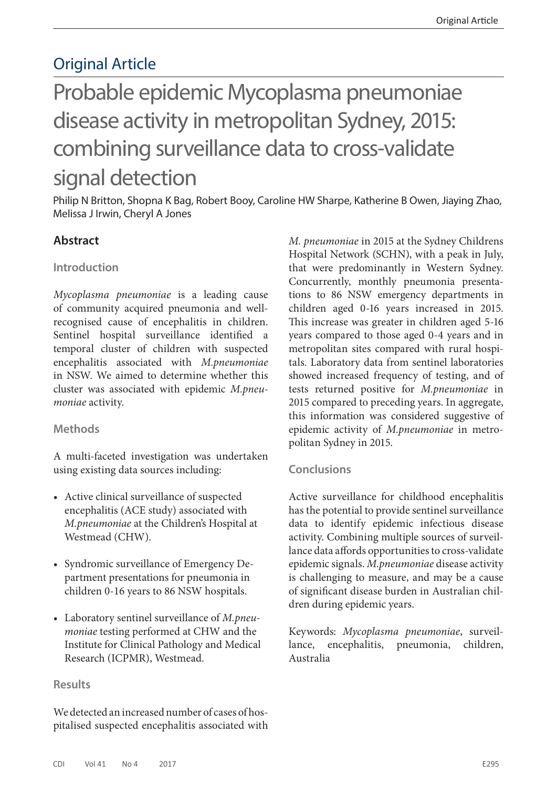## Original Article

# Probable epidemic Mycoplasma pneumoniae disease activity in metropolitan Sydney, 2015: combining surveillance data to cross-validate signal detection

Philip N Britton, Shopna K Bag, Robert Booy, Caroline HW Sharpe, Katherine B Owen, Jiaying Zhao, Melissa J Irwin, Cheryl A Jones

## **Abstract**

#### **Introduction**

*Mycoplasma pneumoniae* is a leading cause of community acquired pneumonia and wellrecognised cause of encephalitis in children. Sentinel hospital surveillance identified a temporal cluster of children with suspected encephalitis associated with *M.pneumoniae* in NSW. We aimed to determine whether this cluster was associated with epidemic *M.pneumoniae* activity.

#### **Methods**

A multi-faceted investigation was undertaken using existing data sources including:

- Active clinical surveillance of suspected encephalitis (ACE study) associated with *M.pneumoniae* at the Children's Hospital at Westmead (CHW).
- Syndromic surveillance of Emergency Department presentations for pneumonia in children 0-16 years to 86 NSW hospitals.
- Laboratory sentinel surveillance of *M.pneumoniae* testing performed at CHW and the Institute for Clinical Pathology and Medical Research (ICPMR), Westmead.

#### **Results**

We detected an increased number of cases of hospitalised suspected encephalitis associated with *M. pneumoniae* in 2015 at the Sydney Childrens Hospital Network (SCHN), with a peak in July, that were predominantly in Western Sydney. Concurrently, monthly pneumonia presentations to 86 NSW emergency departments in children aged 0-16 years increased in 2015. This increase was greater in children aged 5-16 years compared to those aged 0-4 years and in metropolitan sites compared with rural hospitals. Laboratory data from sentinel laboratories showed increased frequency of testing, and of tests returned positive for *M.pneumoniae* in 2015 compared to preceding years. In aggregate, this information was considered suggestive of epidemic activity of *M.pneumoniae* in metropolitan Sydney in 2015.

#### **Conclusions**

Active surveillance for childhood encephalitis has the potential to provide sentinel surveillance data to identify epidemic infectious disease activity. Combining multiple sources of surveillance data affords opportunities to cross-validate epidemic signals. *M.pneumoniae* disease activity is challenging to measure, and may be a cause of significant disease burden in Australian children during epidemic years.

Keywords: *Mycoplasma pneumoniae*, surveillance, encephalitis, pneumonia, children, Australia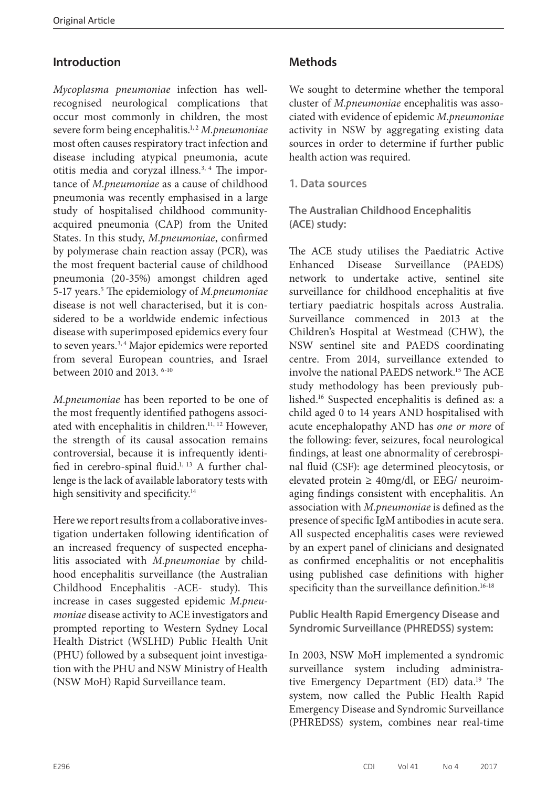## **Introduction**

*Mycoplasma pneumoniae* infection has wellrecognised neurological complications that occur most commonly in children, the most severe form being encephalitis.<sup>1,2</sup> *M.pneumoniae* most often causes respiratory tract infection and disease including atypical pneumonia, acute otitis media and coryzal illness.3, 4 The importance of *M.pneumoniae* as a cause of childhood pneumonia was recently emphasised in a large study of hospitalised childhood communityacquired pneumonia (CAP) from the United States. In this study, *M.pneumoniae*, confirmed by polymerase chain reaction assay (PCR), was the most frequent bacterial cause of childhood pneumonia (20-35%) amongst children aged 5-17 years.5 The epidemiology of *M.pneumoniae* disease is not well characterised, but it is considered to be a worldwide endemic infectious disease with superimposed epidemics every four to seven years.<sup>3, 4</sup> Major epidemics were reported from several European countries, and Israel between 2010 and 2013. 6-10

*M.pneumoniae* has been reported to be one of the most frequently identified pathogens associated with encephalitis in children.<sup>11, 12</sup> However, the strength of its causal assocation remains controversial, because it is infrequently identified in cerebro-spinal fluid.<sup>1, 13</sup> A further challenge is the lack of available laboratory tests with high sensitivity and specificity.<sup>14</sup>

Here we report results from a collaborative investigation undertaken following identification of an increased frequency of suspected encephalitis associated with *M.pneumoniae* by childhood encephalitis surveillance (the Australian Childhood Encephalitis -ACE- study). This increase in cases suggested epidemic *M.pneumoniae* disease activity to ACE investigators and prompted reporting to Western Sydney Local Health District (WSLHD) Public Health Unit (PHU) followed by a subsequent joint investigation with the PHU and NSW Ministry of Health (NSW MoH) Rapid Surveillance team.

## **Methods**

We sought to determine whether the temporal cluster of *M.pneumoniae* encephalitis was associated with evidence of epidemic *M.pneumoniae*  activity in NSW by aggregating existing data sources in order to determine if further public health action was required.

**1. Data sources**

**The Australian Childhood Encephalitis (ACE) study:**

The ACE study utilises the Paediatric Active Enhanced Disease Surveillance (PAEDS) network to undertake active, sentinel site surveillance for childhood encephalitis at five tertiary paediatric hospitals across Australia. Surveillance commenced in 2013 at the Children's Hospital at Westmead (CHW), the NSW sentinel site and PAEDS coordinating centre. From 2014, surveillance extended to involve the national PAEDS network.15 The ACE study methodology has been previously published.16 Suspected encephalitis is defined as: a child aged 0 to 14 years AND hospitalised with acute encephalopathy AND has *one or more* of the following: fever, seizures, focal neurological findings, at least one abnormality of cerebrospinal fluid (CSF): age determined pleocytosis, or elevated protein  $\geq$  40mg/dl, or EEG/ neuroimaging findings consistent with encephalitis. An association with *M.pneumoniae* is defined as the presence of specific IgM antibodies in acute sera. All suspected encephalitis cases were reviewed by an expert panel of clinicians and designated as confirmed encephalitis or not encephalitis using published case definitions with higher specificity than the surveillance definition.<sup>16-18</sup>

**Public Health Rapid Emergency Disease and Syndromic Surveillance (PHREDSS) system:**

In 2003, NSW MoH implemented a syndromic surveillance system including administrative Emergency Department (ED) data.<sup>19</sup> The system, now called the Public Health Rapid Emergency Disease and Syndromic Surveillance (PHREDSS) system, combines near real-time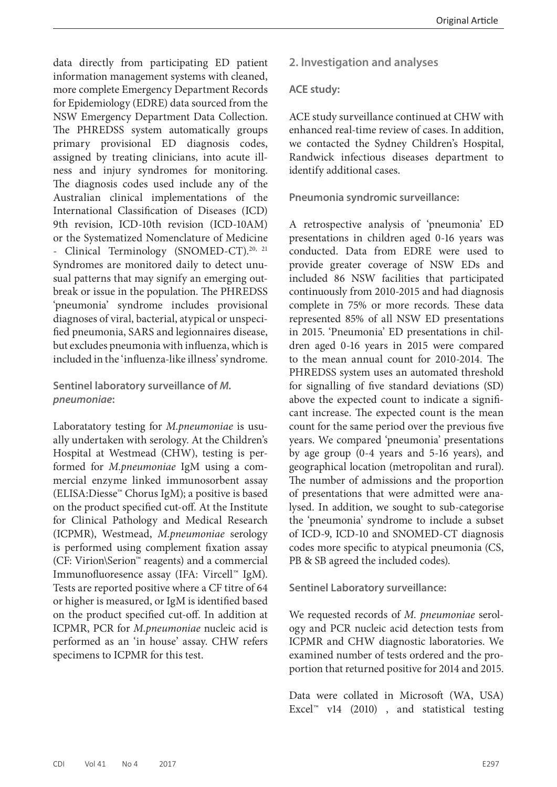data directly from participating ED patient information management systems with cleaned, more complete Emergency Department Records for Epidemiology (EDRE) data sourced from the NSW Emergency Department Data Collection. The PHREDSS system automatically groups primary provisional ED diagnosis codes, assigned by treating clinicians, into acute illness and injury syndromes for monitoring. The diagnosis codes used include any of the Australian clinical implementations of the International Classification of Diseases (ICD) 9th revision, ICD-10th revision (ICD-10AM) or the Systematized Nomenclature of Medicine - Clinical Terminology (SNOMED-CT).<sup>20, 21</sup> Syndromes are monitored daily to detect unusual patterns that may signify an emerging outbreak or issue in the population. The PHREDSS 'pneumonia' syndrome includes provisional diagnoses of viral, bacterial, atypical or unspecified pneumonia, SARS and legionnaires disease, but excludes pneumonia with influenza, which is included in the 'influenza-like illness' syndrome.

**Sentinel laboratory surveillance of** *M. pneumoniae***:**

Laboratatory testing for *M.pneumoniae* is usually undertaken with serology. At the Children's Hospital at Westmead (CHW), testing is performed for *M.pneumoniae* IgM using a commercial enzyme linked immunosorbent assay (ELISA:Diesse™ Chorus IgM); a positive is based on the product specified cut-off. At the Institute for Clinical Pathology and Medical Research (ICPMR), Westmead, *M.pneumoniae* serology is performed using complement fixation assay (CF: Virion\Serion™ reagents) and a commercial Immunofluoresence assay (IFA: Vircell™ IgM). Tests are reported positive where a CF titre of 64 or higher is measured, or IgM is identified based on the product specified cut-off. In addition at ICPMR, PCR for *M.pneumoniae* nucleic acid is performed as an 'in house' assay. CHW refers specimens to ICPMR for this test.

**2. Investigation and analyses**

#### **ACE study:**

ACE study surveillance continued at CHW with enhanced real-time review of cases. In addition, we contacted the Sydney Children's Hospital, Randwick infectious diseases department to identify additional cases.

#### **Pneumonia syndromic surveillance:**

A retrospective analysis of 'pneumonia' ED presentations in children aged 0-16 years was conducted. Data from EDRE were used to provide greater coverage of NSW EDs and included 86 NSW facilities that participated continuously from 2010-2015 and had diagnosis complete in 75% or more records. These data represented 85% of all NSW ED presentations in 2015. 'Pneumonia' ED presentations in children aged 0-16 years in 2015 were compared to the mean annual count for 2010-2014. The PHREDSS system uses an automated threshold for signalling of five standard deviations (SD) above the expected count to indicate a significant increase. The expected count is the mean count for the same period over the previous five years. We compared 'pneumonia' presentations by age group (0-4 years and 5-16 years), and geographical location (metropolitan and rural). The number of admissions and the proportion of presentations that were admitted were analysed. In addition, we sought to sub-categorise the 'pneumonia' syndrome to include a subset of ICD-9, ICD-10 and SNOMED-CT diagnosis codes more specific to atypical pneumonia (CS, PB & SB agreed the included codes).

**Sentinel Laboratory surveillance:**

We requested records of *M. pneumoniae* serology and PCR nucleic acid detection tests from ICPMR and CHW diagnostic laboratories. We examined number of tests ordered and the proportion that returned positive for 2014 and 2015.

Data were collated in Microsoft (WA, USA) Excel<sup>™</sup> v14 (2010), and statistical testing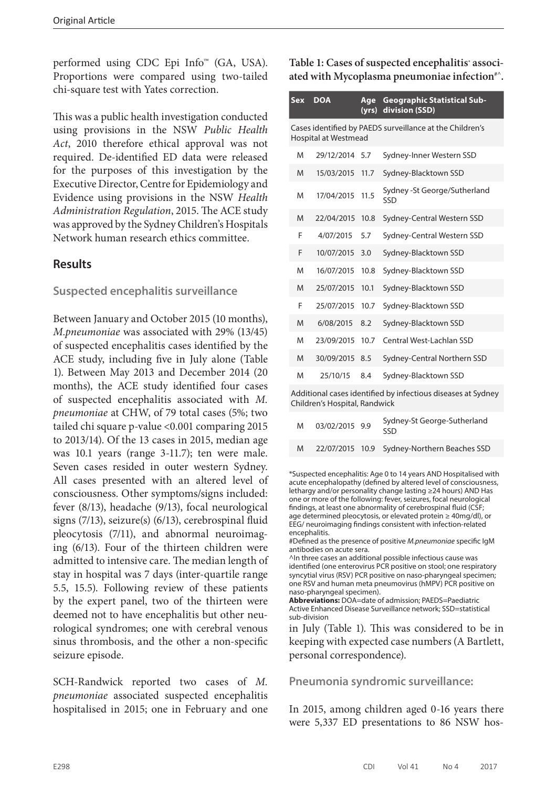performed using CDC Epi Info™ (GA, USA). Proportions were compared using two-tailed chi-square test with Yates correction.

This was a public health investigation conducted using provisions in the NSW *Public Health Act*, 2010 therefore ethical approval was not required. De-identified ED data were released for the purposes of this investigation by the Executive Director, Centre for Epidemiology and Evidence using provisions in the NSW *Health Administration Regulation*, 2015. The ACE study was approved by the Sydney Children's Hospitals Network human research ethics committee.

## **Results**

#### **Suspected encephalitis surveillance**

Between January and October 2015 (10 months), *M.pneumoniae* was associated with 29% (13/45) of suspected encephalitis cases identified by the ACE study, including five in July alone (Table 1). Between May 2013 and December 2014 (20 months), the ACE study identified four cases of suspected encephalitis associated with *M. pneumoniae* at CHW, of 79 total cases (5%; two tailed chi square p-value <0.001 comparing 2015 to 2013/14). Of the 13 cases in 2015, median age was 10.1 years (range 3-11.7); ten were male. Seven cases resided in outer western Sydney. All cases presented with an altered level of consciousness. Other symptoms/signs included: fever (8/13), headache (9/13), focal neurological signs (7/13), seizure(s) (6/13), cerebrospinal fluid pleocytosis (7/11), and abnormal neuroimaging (6/13). Four of the thirteen children were admitted to intensive care. The median length of stay in hospital was 7 days (inter-quartile range 5.5, 15.5). Following review of these patients by the expert panel, two of the thirteen were deemed not to have encephalitis but other neurological syndromes; one with cerebral venous sinus thrombosis, and the other a non-specific seizure episode.

SCH-Randwick reported two cases of *M. pneumoniae* associated suspected encephalitis hospitalised in 2015; one in February and one **Table 1: Cases of suspected encephalitis\* associ**ated with Mycoplasma pneumoniae infection<sup>#^</sup>.

| Sex                                                                              | <b>DOA</b>    | Age<br>(yrs) | <b>Geographic Statistical Sub-</b><br>division (SSD) |  |  |  |  |
|----------------------------------------------------------------------------------|---------------|--------------|------------------------------------------------------|--|--|--|--|
| Cases identified by PAEDS surveillance at the Children's<br>Hospital at Westmead |               |              |                                                      |  |  |  |  |
| M                                                                                | 29/12/2014    | 5.7          | Sydney-Inner Western SSD                             |  |  |  |  |
| M                                                                                | 15/03/2015    | 11.7         | Sydney-Blacktown SSD                                 |  |  |  |  |
| M                                                                                | 17/04/2015    | 11.5         | Sydney - St George/Sutherland<br>SSD                 |  |  |  |  |
| M                                                                                | 22/04/2015    | 10.8         | Sydney-Central Western SSD                           |  |  |  |  |
| F                                                                                | 4/07/2015     | 5.7          | Sydney-Central Western SSD                           |  |  |  |  |
| F                                                                                | 10/07/2015    | 3.0          | Sydney-Blacktown SSD                                 |  |  |  |  |
| M                                                                                | 16/07/2015    | 10.8         | Sydney-Blacktown SSD                                 |  |  |  |  |
| M                                                                                | 25/07/2015    | 10.1         | Sydney-Blacktown SSD                                 |  |  |  |  |
| F                                                                                | 25/07/2015    | 10.7         | Sydney-Blacktown SSD                                 |  |  |  |  |
| M                                                                                | 6/08/2015     | 8.2          | Sydney-Blacktown SSD                                 |  |  |  |  |
| M                                                                                | 23/09/2015    | 10.7         | Central West-Lachlan SSD                             |  |  |  |  |
| M                                                                                | 30/09/2015    | 8.5          | Sydney-Central Northern SSD                          |  |  |  |  |
| M                                                                                | 25/10/15      | 8.4          | Sydney-Blacktown SSD                                 |  |  |  |  |
|                                                                                  | $\sim$ $\sim$ |              |                                                      |  |  |  |  |

Additional cases identified by infectious diseases at Sydney Children's Hospital, Randwick

| M | 03/02/2015 9.9 | Sydney-St George-Sutherland<br>SSD.         |
|---|----------------|---------------------------------------------|
| M |                | 22/07/2015 10.9 Sydney-Northern Beaches SSD |

\*Suspected encephalitis: Age 0 to 14 years AND Hospitalised with acute encephalopathy (defined by altered level of consciousness, lethargy and/or personality change lasting ≥24 hours) AND Has one or more of the following: fever, seizures, focal neurological findings, at least one abnormality of cerebrospinal fluid (CSF; age determined pleocytosis, or elevated protein ≥ 40mg/dl), or EEG/ neuroimaging findings consistent with infection-related encephalitis.

#Defined as the presence of positive *M.pneumoniae* specific IgM antibodies on acute sera.

^In three cases an additional possible infectious cause was identified (one enterovirus PCR positive on stool; one respiratory syncytial virus (RSV) PCR positive on naso-pharyngeal specimen; one RSV and human meta pneumovirus (hMPV) PCR positive on naso-pharyngeal specimen).

in July (Table 1). This was considered to be in keeping with expected case numbers (A Bartlett, personal correspondence).

#### **Pneumonia syndromic surveillance:**

In 2015, among children aged 0-16 years there were 5,337 ED presentations to 86 NSW hos-

**Abbreviations:** DOA=date of admission; PAEDS=Paediatric Active Enhanced Disease Surveillance network; SSD=statistical sub-division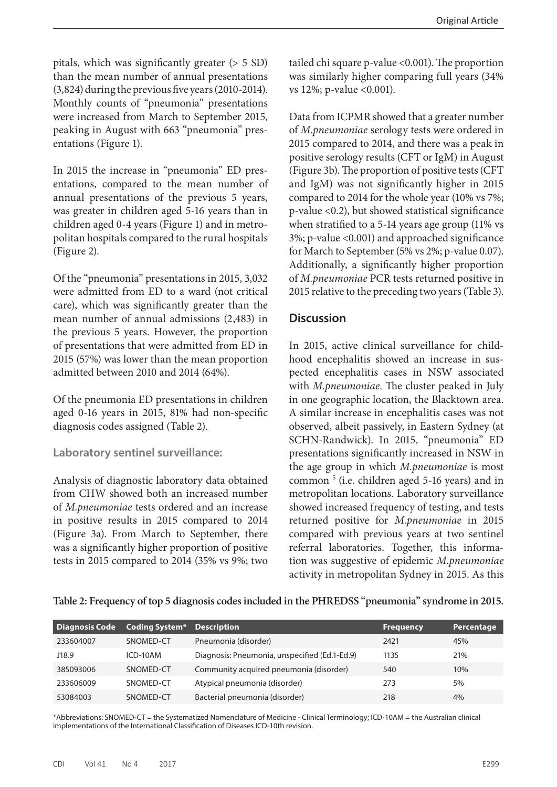pitals, which was significantly greater  $(> 5 SD)$ than the mean number of annual presentations (3,824) during the previous five years (2010-2014). Monthly counts of "pneumonia" presentations were increased from March to September 2015, peaking in August with 663 "pneumonia" presentations (Figure 1).

In 2015 the increase in "pneumonia" ED presentations, compared to the mean number of annual presentations of the previous 5 years, was greater in children aged 5-16 years than in children aged 0-4 years (Figure 1) and in metropolitan hospitals compared to the rural hospitals (Figure 2).

Of the "pneumonia" presentations in 2015, 3,032 were admitted from ED to a ward (not critical care), which was significantly greater than the mean number of annual admissions (2,483) in the previous 5 years. However, the proportion of presentations that were admitted from ED in 2015 (57%) was lower than the mean proportion admitted between 2010 and 2014 (64%).

Of the pneumonia ED presentations in children aged 0-16 years in 2015, 81% had non-specific diagnosis codes assigned (Table 2).

#### **Laboratory sentinel surveillance:**

Analysis of diagnostic laboratory data obtained from CHW showed both an increased number of *M.pneumoniae* tests ordered and an increase in positive results in 2015 compared to 2014 (Figure 3a). From March to September, there was a significantly higher proportion of positive tests in 2015 compared to 2014 (35% vs 9%; two

tailed chi square p-value <0.001). The proportion was similarly higher comparing full years (34% vs 12%; p-value <0.001).

Data from ICPMR showed that a greater number of *M.pneumoniae* serology tests were ordered in 2015 compared to 2014, and there was a peak in positive serology results (CFT or IgM) in August (Figure 3b). The proportion of positive tests (CFT and IgM) was not significantly higher in 2015 compared to 2014 for the whole year (10% vs 7%; p-value <0.2), but showed statistical significance when stratified to a 5-14 years age group (11% vs 3%; p-value <0.001) and approached significance for March to September (5% vs 2%; p-value 0.07). Additionally, a significantly higher proportion of *M.pneumoniae* PCR tests returned positive in 2015 relative to the preceding two years (Table 3).

## **Discussion**

In 2015, active clinical surveillance for childhood encephalitis showed an increase in suspected encephalitis cases in NSW associated with *M.pneumoniae*. The cluster peaked in July in one geographic location, the Blacktown area. A similar increase in encephalitis cases was not observed, albeit passively, in Eastern Sydney (at SCHN-Randwick). In 2015, "pneumonia" ED presentations significantly increased in NSW in the age group in which *M.pneumoniae* is most common<sup>5</sup> (i.e. children aged 5-16 years) and in metropolitan locations. Laboratory surveillance showed increased frequency of testing, and tests returned positive for *M.pneumoniae* in 2015 compared with previous years at two sentinel referral laboratories. Together, this information was suggestive of epidemic *M.pneumoniae*  activity in metropolitan Sydney in 2015. As this

#### **Table 2: Frequency of top 5 diagnosis codes included in the PHREDSS "pneumonia" syndrome in 2015.**

| Diagnosis Code | <b>Coding System*</b> Description |                                               | <b>Frequency</b> | Percentage |
|----------------|-----------------------------------|-----------------------------------------------|------------------|------------|
| 233604007      | SNOMED-CT                         | Pneumonia (disorder)                          | 2421             | 45%        |
| J18.9          | $ICD-10AM$                        | Diagnosis: Pneumonia, unspecified (Ed.1-Ed.9) | 1135             | 21%        |
| 385093006      | SNOMED-CT                         | Community acquired pneumonia (disorder)       | 540              | 10%        |
| 233606009      | SNOMED-CT                         | Atypical pneumonia (disorder)                 | 273              | 5%         |
| 53084003       | SNOMED-CT                         | Bacterial pneumonia (disorder)                | 218              | 4%         |

\*Abbreviations: SNOMED-CT = the Systematized Nomenclature of Medicine - Clinical Terminology; ICD-10AM = the Australian clinical implementations of the International Classification of Diseases ICD-10th revision.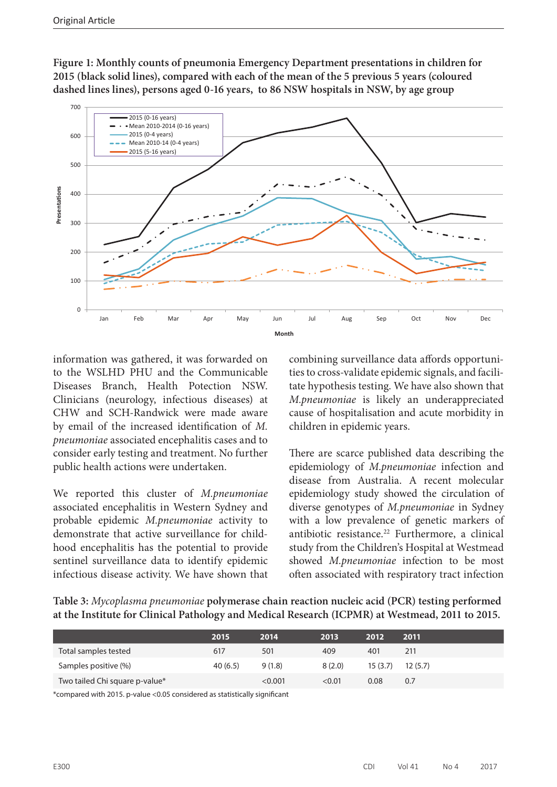**Figure 1: Monthly counts of pneumonia Emergency Department presentations in children for 2015 (black solid lines), compared with each of the mean of the 5 previous 5 years (coloured dashed lines lines), persons aged 0-16 years, to 86 NSW hospitals in NSW, by age group**



information was gathered, it was forwarded on to the WSLHD PHU and the Communicable Diseases Branch, Health Potection NSW. Clinicians (neurology, infectious diseases) at CHW and SCH-Randwick were made aware by email of the increased identification of *M. pneumoniae* associated encephalitis cases and to consider early testing and treatment. No further public health actions were undertaken.

We reported this cluster of *M.pneumoniae*  associated encephalitis in Western Sydney and probable epidemic *M.pneumoniae* activity to demonstrate that active surveillance for childhood encephalitis has the potential to provide sentinel surveillance data to identify epidemic infectious disease activity. We have shown that combining surveillance data affords opportunities to cross-validate epidemic signals, and facilitate hypothesis testing. We have also shown that *M.pneumoniae* is likely an underappreciated cause of hospitalisation and acute morbidity in children in epidemic years.

There are scarce published data describing the epidemiology of *M.pneumoniae* infection and disease from Australia. A recent molecular epidemiology study showed the circulation of diverse genotypes of *M.pneumoniae* in Sydney with a low prevalence of genetic markers of antibiotic resistance.<sup>22</sup> Furthermore, a clinical study from the Children's Hospital at Westmead showed *M.pneumoniae* infection to be most often associated with respiratory tract infection

**Table 3:** *Mycoplasma pneumoniae* **polymerase chain reaction nucleic acid (PCR) testing performed at the Institute for Clinical Pathology and Medical Research (ICPMR) at Westmead, 2011 to 2015.**

|                                | 2015    | 2014    | 2013   | 2012     | 2011    |
|--------------------------------|---------|---------|--------|----------|---------|
| Total samples tested           | 617     | 501     | 409    | 401      | 211     |
| Samples positive (%)           | 40(6.5) | 9(1.8)  | 8(2.0) | 15 (3.7) | 12(5.7) |
| Two tailed Chi square p-value* |         | < 0.001 | < 0.01 | 0.08     | 0.7     |

\*compared with 2015. p-value <0.05 considered as statistically significant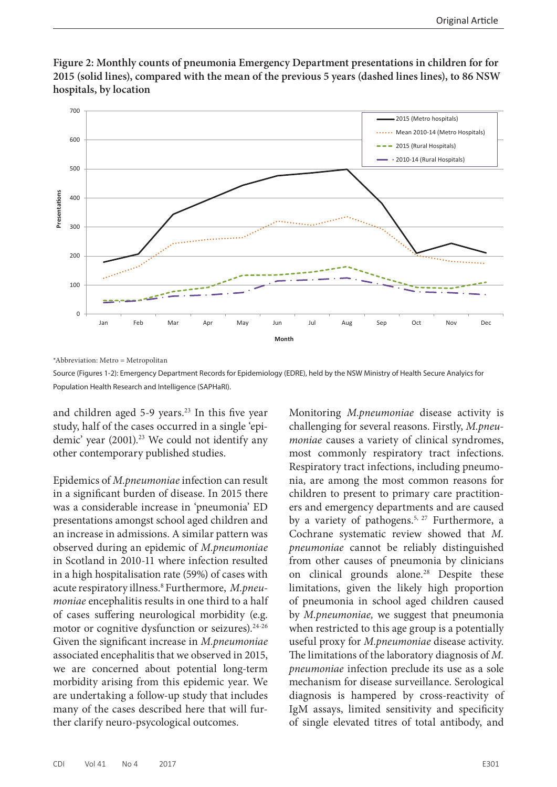

**Figure 2: Monthly counts of pneumonia Emergency Department presentations in children for for 2015 (solid lines), compared with the mean of the previous 5 years (dashed lines lines), to 86 NSW hospitals, by location**

\*Abbreviation: Metro = Metropolitan

Source (Figures 1-2): Emergency Department Records for Epidemiology (EDRE), held by the NSW Ministry of Health Secure Analyics for Population Health Research and Intelligence (SAPHaRI).

and children aged  $5-9$  years.<sup>23</sup> In this five year study, half of the cases occurred in a single 'epidemic' year (2001).<sup>23</sup> We could not identify any other contemporary published studies.

Epidemics of *M.pneumoniae* infection can result in a significant burden of disease. In 2015 there was a considerable increase in 'pneumonia' ED presentations amongst school aged children and an increase in admissions. A similar pattern was observed during an epidemic of *M.pneumoniae*  in Scotland in 2010-11 where infection resulted in a high hospitalisation rate (59%) of cases with acute respiratory illness.8 Furthermore, *M.pneumoniae* encephalitis results in one third to a half of cases suffering neurological morbidity (e.g. motor or cognitive dysfunction or seizures).<sup>24-26</sup> Given the significant increase in *M.pneumoniae*  associated encephalitis that we observed in 2015, we are concerned about potential long-term morbidity arising from this epidemic year. We are undertaking a follow-up study that includes many of the cases described here that will further clarify neuro-psycological outcomes.

Monitoring *M.pneumoniae* disease activity is challenging for several reasons. Firstly, *M.pneumoniae* causes a variety of clinical syndromes, most commonly respiratory tract infections. Respiratory tract infections, including pneumonia, are among the most common reasons for children to present to primary care practitioners and emergency departments and are caused by a variety of pathogens.5, 27 Furthermore, a Cochrane systematic review showed that *M. pneumoniae* cannot be reliably distinguished from other causes of pneumonia by clinicians on clinical grounds alone.<sup>28</sup> Despite these limitations, given the likely high proportion of pneumonia in school aged children caused by *M.pneumoniae,* we suggest that pneumonia when restricted to this age group is a potentially useful proxy for *M.pneumoniae* disease activity. The limitations of the laboratory diagnosis of *M. pneumoniae* infection preclude its use as a sole mechanism for disease surveillance. Serological diagnosis is hampered by cross-reactivity of IgM assays, limited sensitivity and specificity of single elevated titres of total antibody, and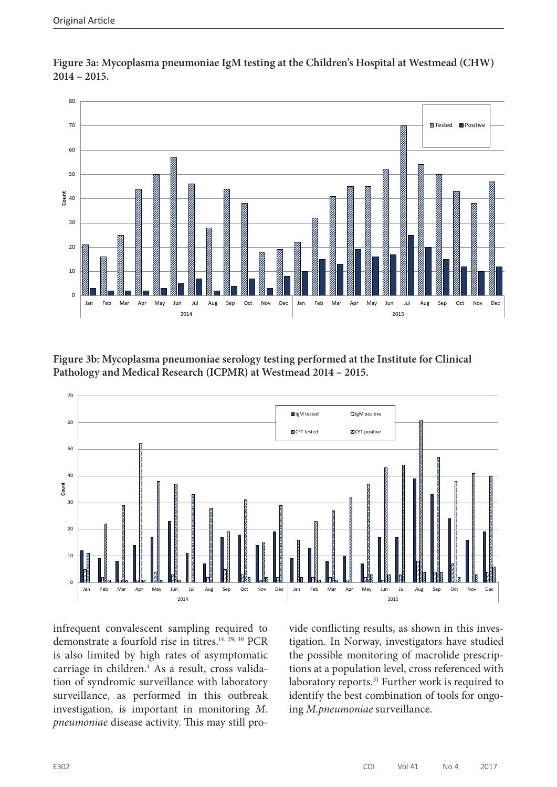

**Figure 3a: Mycoplasma pneumoniae IgM testing at the Children's Hospital at Westmead (CHW) 2014 – 2015.**

**Figure 3b: Mycoplasma pneumoniae serology testing performed at the Institute for Clinical Pathology and Medical Research (ICPMR) at Westmead 2014 – 2015.**



infrequent convalescent sampling required to demonstrate a fourfold rise in titres.<sup>14, 29, 30</sup> PCR is also limited by high rates of asymptomatic carriage in children.4 As a result, cross validation of syndromic surveillance with laboratory surveillance, as performed in this outbreak investigation, is important in monitoring *M. pneumoniae* disease activity. This may still provide conflicting results, as shown in this investigation. In Norway, investigators have studied the possible monitoring of macrolide prescriptions at a population level, cross referenced with laboratory reports.<sup>31</sup> Further work is required to identify the best combination of tools for ongoing *M.pneumoniae* surveillance.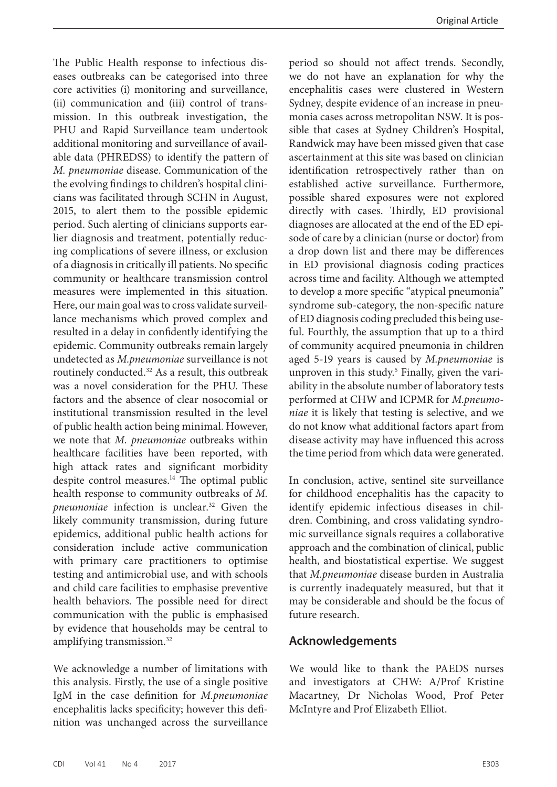The Public Health response to infectious diseases outbreaks can be categorised into three core activities (i) monitoring and surveillance, (ii) communication and (iii) control of transmission. In this outbreak investigation, the PHU and Rapid Surveillance team undertook additional monitoring and surveillance of available data (PHREDSS) to identify the pattern of *M. pneumoniae* disease. Communication of the the evolving findings to children's hospital clinicians was facilitated through SCHN in August, 2015, to alert them to the possible epidemic period. Such alerting of clinicians supports earlier diagnosis and treatment, potentially reducing complications of severe illness, or exclusion of a diagnosis in critically ill patients. No specific community or healthcare transmission control measures were implemented in this situation. Here, our main goal was to cross validate surveillance mechanisms which proved complex and resulted in a delay in confidently identifying the epidemic. Community outbreaks remain largely undetected as *M.pneumoniae* surveillance is not routinely conducted.32 As a result, this outbreak was a novel consideration for the PHU. These factors and the absence of clear nosocomial or institutional transmission resulted in the level of public health action being minimal. However, we note that *M. pneumoniae* outbreaks within healthcare facilities have been reported, with high attack rates and significant morbidity despite control measures.<sup>14</sup> The optimal public health response to community outbreaks of *M. pneumoniae* infection is unclear.32 Given the likely community transmission, during future epidemics, additional public health actions for consideration include active communication with primary care practitioners to optimise testing and antimicrobial use, and with schools and child care facilities to emphasise preventive health behaviors. The possible need for direct communication with the public is emphasised by evidence that households may be central to amplifying transmission.32

We acknowledge a number of limitations with this analysis. Firstly, the use of a single positive IgM in the case definition for *M.pneumoniae*  encephalitis lacks specificity; however this definition was unchanged across the surveillance period so should not affect trends. Secondly, we do not have an explanation for why the encephalitis cases were clustered in Western Sydney, despite evidence of an increase in pneumonia cases across metropolitan NSW. It is possible that cases at Sydney Children's Hospital, Randwick may have been missed given that case ascertainment at this site was based on clinician identification retrospectively rather than on established active surveillance. Furthermore, possible shared exposures were not explored directly with cases. Thirdly, ED provisional diagnoses are allocated at the end of the ED episode of care by a clinician (nurse or doctor) from a drop down list and there may be differences in ED provisional diagnosis coding practices across time and facility. Although we attempted to develop a more specific "atypical pneumonia" syndrome sub-category, the non-specific nature of ED diagnosis coding precluded this being useful. Fourthly, the assumption that up to a third of community acquired pneumonia in children aged 5-19 years is caused by *M.pneumoniae* is unproven in this study.<sup>5</sup> Finally, given the variability in the absolute number of laboratory tests performed at CHW and ICPMR for *M.pneumoniae* it is likely that testing is selective, and we do not know what additional factors apart from disease activity may have influenced this across the time period from which data were generated.

In conclusion, active, sentinel site surveillance for childhood encephalitis has the capacity to identify epidemic infectious diseases in children. Combining, and cross validating syndromic surveillance signals requires a collaborative approach and the combination of clinical, public health, and biostatistical expertise. We suggest that *M.pneumoniae* disease burden in Australia is currently inadequately measured, but that it may be considerable and should be the focus of future research.

#### **Acknowledgements**

We would like to thank the PAEDS nurses and investigators at CHW: A/Prof Kristine Macartney, Dr Nicholas Wood, Prof Peter McIntyre and Prof Elizabeth Elliot.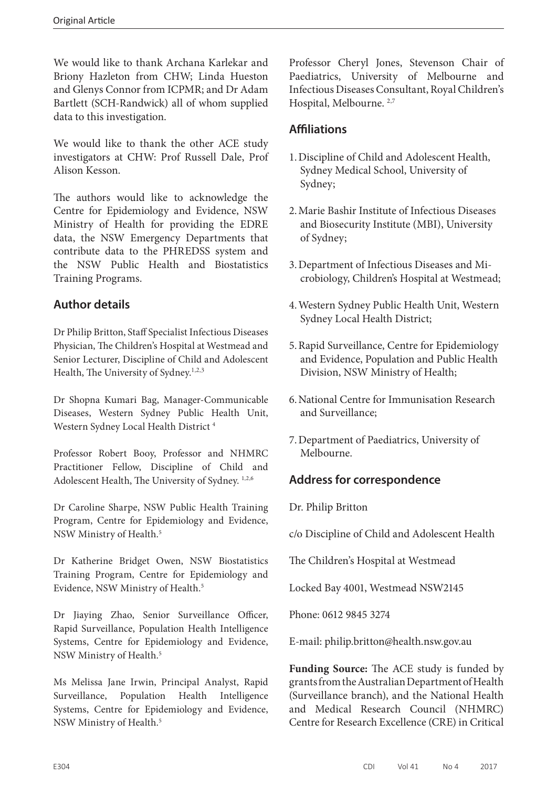We would like to thank Archana Karlekar and Briony Hazleton from CHW; Linda Hueston and Glenys Connor from ICPMR; and Dr Adam Bartlett (SCH-Randwick) all of whom supplied data to this investigation.

We would like to thank the other ACE study investigators at CHW: Prof Russell Dale, Prof Alison Kesson.

The authors would like to acknowledge the Centre for Epidemiology and Evidence, NSW Ministry of Health for providing the EDRE data, the NSW Emergency Departments that contribute data to the PHREDSS system and the NSW Public Health and Biostatistics Training Programs.

## **Author details**

Dr Philip Britton, Staff Specialist Infectious Diseases Physician, The Children's Hospital at Westmead and Senior Lecturer, Discipline of Child and Adolescent Health, The University of Sydney.<sup>1,2,3</sup>

Dr Shopna Kumari Bag, Manager-Communicable Diseases, Western Sydney Public Health Unit, Western Sydney Local Health District 4

Professor Robert Booy, Professor and NHMRC Practitioner Fellow, Discipline of Child and Adolescent Health, The University of Sydney. 1,2,6

Dr Caroline Sharpe, NSW Public Health Training Program, Centre for Epidemiology and Evidence, NSW Ministry of Health.5

Dr Katherine Bridget Owen, NSW Biostatistics Training Program, Centre for Epidemiology and Evidence, NSW Ministry of Health.<sup>5</sup>

Dr Jiaying Zhao, Senior Surveillance Officer, Rapid Surveillance, Population Health Intelligence Systems, Centre for Epidemiology and Evidence, NSW Ministry of Health.5

Ms Melissa Jane Irwin, Principal Analyst, Rapid Surveillance, Population Health Intelligence Systems, Centre for Epidemiology and Evidence, NSW Ministry of Health.5

Professor Cheryl Jones, Stevenson Chair of Paediatrics, University of Melbourne and Infectious Diseases Consultant, Royal Children's Hospital, Melbourne. 2,7

## **Affiliations**

- 1.Discipline of Child and Adolescent Health, Sydney Medical School, University of Sydney;
- 2.Marie Bashir Institute of Infectious Diseases and Biosecurity Institute (MBI), University of Sydney;
- 3.Department of Infectious Diseases and Microbiology, Children's Hospital at Westmead;
- 4.Western Sydney Public Health Unit, Western Sydney Local Health District;
- 5.Rapid Surveillance, Centre for Epidemiology and Evidence, Population and Public Health Division, NSW Ministry of Health;
- 6.National Centre for Immunisation Research and Surveillance;
- 7.Department of Paediatrics, University of Melbourne.

## **Address for correspondence**

Dr. Philip Britton

c/o Discipline of Child and Adolescent Health

The Children's Hospital at Westmead

Locked Bay 4001, Westmead NSW2145

Phone: 0612 9845 3274

E-mail: [philip.britton@health.nsw.gov.au](mailto:philip.britton@health.nsw.gov.au)

**Funding Source:** The ACE study is funded by grants from the Australian Department of Health (Surveillance branch), and the National Health and Medical Research Council (NHMRC) Centre for Research Excellence (CRE) in Critical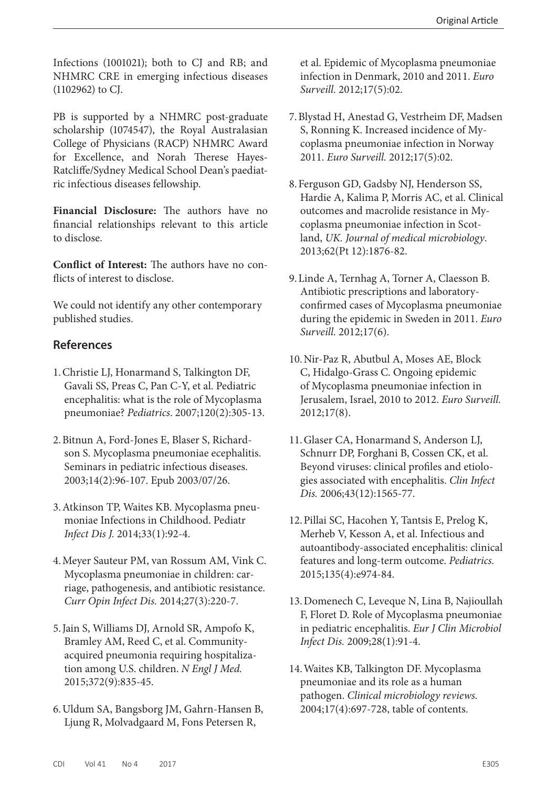Infections (1001021); both to CJ and RB; and NHMRC CRE in emerging infectious diseases (1102962) to CJ.

PB is supported by a NHMRC post-graduate scholarship (1074547), the Royal Australasian College of Physicians (RACP) NHMRC Award for Excellence, and Norah Therese Hayes-Ratcliffe/Sydney Medical School Dean's paediatric infectious diseases fellowship.

**Financial Disclosure:** The authors have no financial relationships relevant to this article to disclose.

**Conflict of Interest:** The authors have no conflicts of interest to disclose.

We could not identify any other contemporary published studies.

#### **References**

- 1.Christie LJ, Honarmand S, Talkington DF, Gavali SS, Preas C, Pan C-Y, et al. Pediatric encephalitis: what is the role of Mycoplasma pneumoniae? *Pediatrics*. 2007;120(2):305-13.
- 2.Bitnun A, Ford-Jones E, Blaser S, Richardson S. Mycoplasma pneumoniae ecephalitis. Seminars in pediatric infectious diseases. 2003;14(2):96-107. Epub 2003/07/26.
- 3.Atkinson TP, Waites KB. Mycoplasma pneumoniae Infections in Childhood. Pediatr *Infect Dis J.* 2014;33(1):92-4.
- 4.Meyer Sauteur PM, van Rossum AM, Vink C. Mycoplasma pneumoniae in children: carriage, pathogenesis, and antibiotic resistance. *Curr Opin Infect Dis.* 2014;27(3):220-7.
- 5.Jain S, Williams DJ, Arnold SR, Ampofo K, Bramley AM, Reed C, et al. Communityacquired pneumonia requiring hospitalization among U.S. children. *N Engl J Med.* 2015;372(9):835-45.
- 6.Uldum SA, Bangsborg JM, Gahrn-Hansen B, Ljung R, Molvadgaard M, Fons Petersen R,

et al. Epidemic of Mycoplasma pneumoniae infection in Denmark, 2010 and 2011. *Euro Surveill.* 2012;17(5):02.

- 7.Blystad H, Anestad G, Vestrheim DF, Madsen S, Ronning K. Increased incidence of Mycoplasma pneumoniae infection in Norway 2011. *Euro Surveill.* 2012;17(5):02.
- 8.Ferguson GD, Gadsby NJ, Henderson SS, Hardie A, Kalima P, Morris AC, et al. Clinical outcomes and macrolide resistance in Mycoplasma pneumoniae infection in Scotland, *UK. Journal of medical microbiology*. 2013;62(Pt 12):1876-82.
- 9.Linde A, Ternhag A, Torner A, Claesson B. Antibiotic prescriptions and laboratoryconfirmed cases of Mycoplasma pneumoniae during the epidemic in Sweden in 2011. *Euro Surveill.* 2012;17(6).
- 10.Nir-Paz R, Abutbul A, Moses AE, Block C, Hidalgo-Grass C. Ongoing epidemic of Mycoplasma pneumoniae infection in Jerusalem, Israel, 2010 to 2012. *Euro Surveill.*  2012;17(8).
- 11.Glaser CA, Honarmand S, Anderson LJ, Schnurr DP, Forghani B, Cossen CK, et al. Beyond viruses: clinical profiles and etiologies associated with encephalitis. *Clin Infect Dis.* 2006;43(12):1565-77.
- 12.Pillai SC, Hacohen Y, Tantsis E, Prelog K, Merheb V, Kesson A, et al. Infectious and autoantibody-associated encephalitis: clinical features and long-term outcome. *Pediatrics.*  2015;135(4):e974-84.
- 13.Domenech C, Leveque N, Lina B, Najioullah F, Floret D. Role of Mycoplasma pneumoniae in pediatric encephalitis. *Eur J Clin Microbiol Infect Dis.* 2009;28(1):91-4.
- 14.Waites KB, Talkington DF. Mycoplasma pneumoniae and its role as a human pathogen. *Clinical microbiology reviews.*  2004;17(4):697-728, table of contents.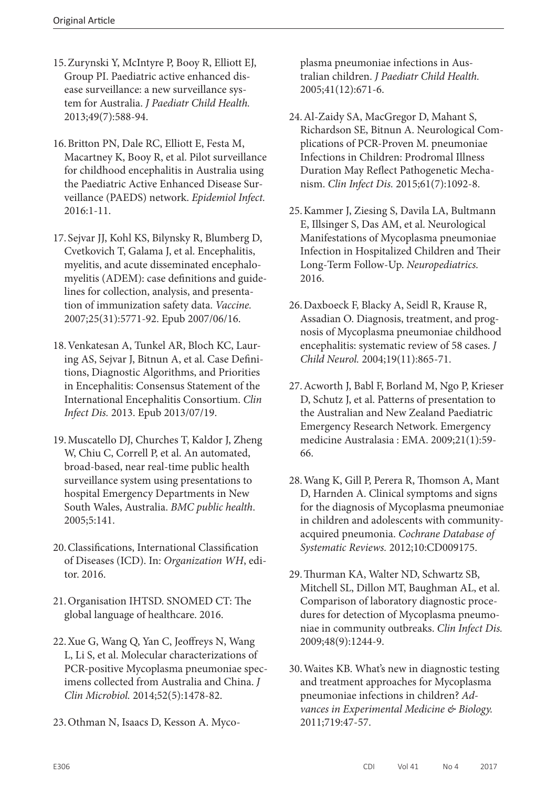- 15.Zurynski Y, McIntyre P, Booy R, Elliott EJ, Group PI. Paediatric active enhanced disease surveillance: a new surveillance system for Australia. *J Paediatr Child Health.*  2013;49(7):588-94.
- 16.Britton PN, Dale RC, Elliott E, Festa M, Macartney K, Booy R, et al. Pilot surveillance for childhood encephalitis in Australia using the Paediatric Active Enhanced Disease Surveillance (PAEDS) network. *Epidemiol Infect.* 2016:1-11.
- 17. Sejvar JJ, Kohl KS, Bilynsky R, Blumberg D, Cvetkovich T, Galama J, et al. Encephalitis, myelitis, and acute disseminated encephalomyelitis (ADEM): case definitions and guidelines for collection, analysis, and presentation of immunization safety data. *Vaccine.*  2007;25(31):5771-92. Epub 2007/06/16.
- 18.Venkatesan A, Tunkel AR, Bloch KC, Lauring AS, Sejvar J, Bitnun A, et al. Case Definitions, Diagnostic Algorithms, and Priorities in Encephalitis: Consensus Statement of the International Encephalitis Consortium. *Clin Infect Dis.* 2013. Epub 2013/07/19.
- 19.Muscatello DJ, Churches T, Kaldor J, Zheng W, Chiu C, Correll P, et al. An automated, broad-based, near real-time public health surveillance system using presentations to hospital Emergency Departments in New South Wales, Australia. *BMC public health*. 2005;5:141.
- 20.Classifications, International Classification of Diseases (ICD). In: *Organization WH*, editor. 2016.
- 21.Organisation IHTSD. SNOMED CT: The global language of healthcare. 2016.
- 22.Xue G, Wang Q, Yan C, Jeoffreys N, Wang L, Li S, et al. Molecular characterizations of PCR-positive Mycoplasma pneumoniae specimens collected from Australia and China. *J Clin Microbiol.* 2014;52(5):1478-82.
- 23.Othman N, Isaacs D, Kesson A. Myco-

plasma pneumoniae infections in Australian children. *J Paediatr Child Health.* 2005;41(12):671-6.

- 24.Al-Zaidy SA, MacGregor D, Mahant S, Richardson SE, Bitnun A. Neurological Complications of PCR-Proven M. pneumoniae Infections in Children: Prodromal Illness Duration May Reflect Pathogenetic Mechanism. *Clin Infect Dis.* 2015;61(7):1092-8.
- 25.Kammer J, Ziesing S, Davila LA, Bultmann E, Illsinger S, Das AM, et al. Neurological Manifestations of Mycoplasma pneumoniae Infection in Hospitalized Children and Their Long-Term Follow-Up. *Neuropediatrics.* 2016.
- 26.Daxboeck F, Blacky A, Seidl R, Krause R, Assadian O. Diagnosis, treatment, and prognosis of Mycoplasma pneumoniae childhood encephalitis: systematic review of 58 cases. *J Child Neurol.* 2004;19(11):865-71.
- 27.Acworth J, Babl F, Borland M, Ngo P, Krieser D, Schutz J, et al. Patterns of presentation to the Australian and New Zealand Paediatric Emergency Research Network. Emergency medicine Australasia : EMA. 2009;21(1):59- 66.
- 28.Wang K, Gill P, Perera R, Thomson A, Mant D, Harnden A. Clinical symptoms and signs for the diagnosis of Mycoplasma pneumoniae in children and adolescents with communityacquired pneumonia. *Cochrane Database of Systematic Reviews.* 2012;10:CD009175.
- 29.Thurman KA, Walter ND, Schwartz SB, Mitchell SL, Dillon MT, Baughman AL, et al. Comparison of laboratory diagnostic procedures for detection of Mycoplasma pneumoniae in community outbreaks. *Clin Infect Dis.* 2009;48(9):1244-9.
- 30.Waites KB. What's new in diagnostic testing and treatment approaches for Mycoplasma pneumoniae infections in children? *Advances in Experimental Medicine & Biology.*  2011;719:47-57.